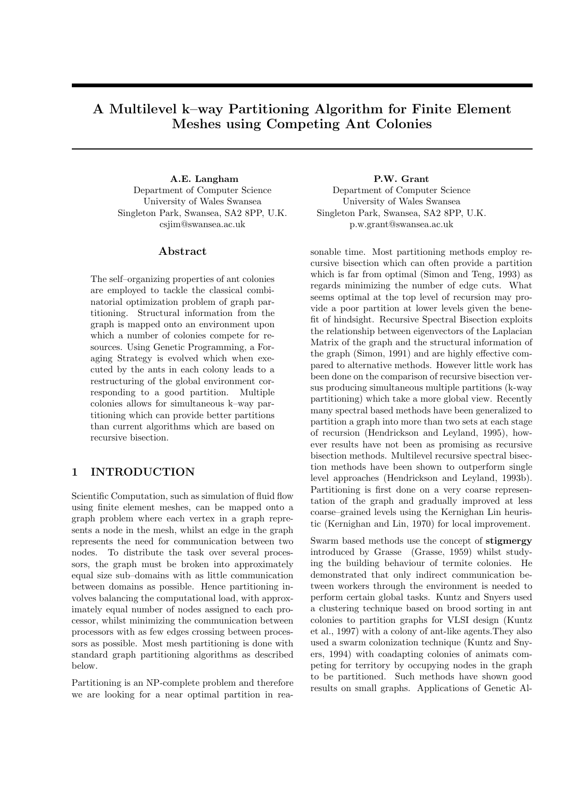# **A Multilevel k–way Partitioning Algorithm for Finite Element Meshes using Competing Ant Colonies**

**A.E. Langham** Department of Computer Science University of Wales Swansea Singleton Park, Swansea, SA2 8PP, U.K. csjim@swansea.ac.uk

### **Abstract**

The self–organizing properties of ant colonies are employed to tackle the classical combinatorial optimization problem of graph partitioning. Structural information from the graph is mapped onto an environment upon which a number of colonies compete for resources. Using Genetic Programming, a Foraging Strategy is evolved which when executed by the ants in each colony leads to a restructuring of the global environment corresponding to a good partition. Multiple colonies allows for simultaneous k–way partitioning which can provide better partitions than current algorithms which are based on recursive bisection.

# **1 INTRODUCTION**

Scientific Computation, such as simulation of fluid flow using finite element meshes, can be mapped onto a graph problem where each vertex in a graph represents a node in the mesh, whilst an edge in the graph represents the need for communication between two nodes. To distribute the task over several processors, the graph must be broken into approximately equal size sub–domains with as little communication between domains as possible. Hence partitioning involves balancing the computational load, with approximately equal number of nodes assigned to each processor, whilst minimizing the communication between processors with as few edges crossing between processors as possible. Most mesh partitioning is done with standard graph partitioning algorithms as described below.

Partitioning is an NP-complete problem and therefore we are looking for a near optimal partition in rea**P.W. Grant**

Department of Computer Science University of Wales Swansea Singleton Park, Swansea, SA2 8PP, U.K. p.w.grant@swansea.ac.uk

sonable time. Most partitioning methods employ recursive bisection which can often provide a partition which is far from optimal (Simon and Teng, 1993) as regards minimizing the number of edge cuts. What seems optimal at the top level of recursion may provide a poor partition at lower levels given the benefit of hindsight. Recursive Spectral Bisection exploits the relationship between eigenvectors of the Laplacian Matrix of the graph and the structural information of the graph (Simon, 1991) and are highly effective compared to alternative methods. However little work has been done on the comparison of recursive bisection versus producing simultaneous multiple partitions (k-way partitioning) which take a more global view. Recently many spectral based methods have been generalized to partition a graph into more than two sets at each stage of recursion (Hendrickson and Leyland, 1995), however results have not been as promising as recursive bisection methods. Multilevel recursive spectral bisection methods have been shown to outperform single level approaches (Hendrickson and Leyland, 1993b). Partitioning is first done on a very coarse representation of the graph and gradually improved at less coarse–grained levels using the Kernighan Lin heuristic (Kernighan and Lin, 1970) for local improvement.

Swarm based methods use the concept of **stigmergy** introduced by Grasse (Grasse, 1959) whilst studying the building behaviour of termite colonies. He demonstrated that only indirect communication between workers through the environment is needed to perform certain global tasks. Kuntz and Snyers used a clustering technique based on brood sorting in ant colonies to partition graphs for VLSI design (Kuntz et al., 1997) with a colony of ant-like agents.They also used a swarm colonization technique (Kuntz and Snyers, 1994) with coadapting colonies of animats competing for territory by occupying nodes in the graph to be partitioned. Such methods have shown good results on small graphs. Applications of Genetic Al-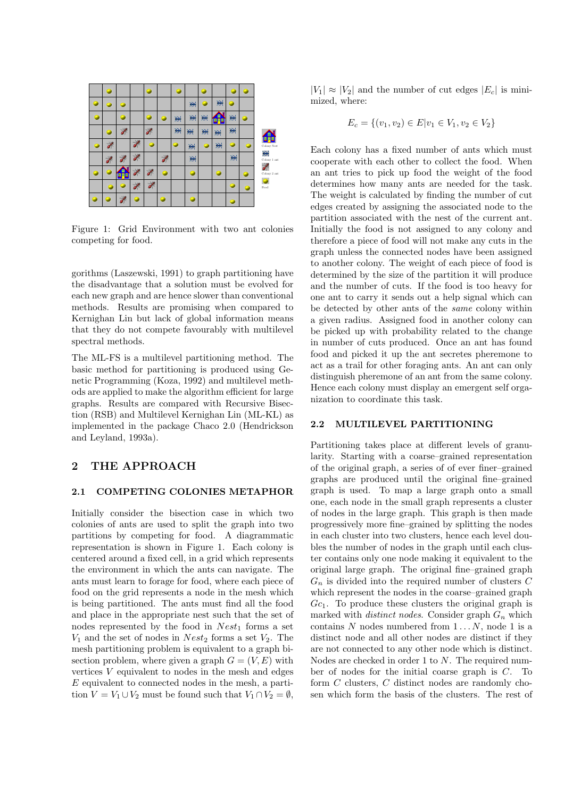

Figure 1: Grid Environment with two ant colonies competing for food.

gorithms (Laszewski, 1991) to graph partitioning have the disadvantage that a solution must be evolved for each new graph and are hence slower than conventional methods. Results are promising when compared to Kernighan Lin but lack of global information means that they do not compete favourably with multilevel spectral methods.

The ML-FS is a multilevel partitioning method. The basic method for partitioning is produced using Genetic Programming (Koza, 1992) and multilevel methods are applied to make the algorithm efficient for large graphs. Results are compared with Recursive Bisection (RSB) and Multilevel Kernighan Lin (ML-KL) as implemented in the package Chaco 2.0 (Hendrickson and Leyland, 1993a).

# **2 THE APPROACH**

#### **2.1 COMPETING COLONIES METAPHOR**

Initially consider the bisection case in which two colonies of ants are used to split the graph into two partitions by competing for food. A diagrammatic representation is shown in Figure 1. Each colony is centered around a fixed cell, in a grid which represents the environment in which the ants can navigate. The ants must learn to forage for food, where each piece of food on the grid represents a node in the mesh which is being partitioned. The ants must find all the food and place in the appropriate nest such that the set of nodes represented by the food in *Nest*<sup>1</sup> forms a set  $V_1$  and the set of nodes in *Nest*<sub>2</sub> forms a set  $V_2$ . The mesh partitioning problem is equivalent to a graph bisection problem, where given a graph  $G = (V, E)$  with vertices *V* equivalent to nodes in the mesh and edges *E* equivalent to connected nodes in the mesh, a partition  $V = V_1 \cup V_2$  must be found such that  $V_1 \cap V_2 = \emptyset$ ,

 $|V_1| \approx |V_2|$  and the number of cut edges  $|E_c|$  is minimized, where:

$$
E_c = \{(v_1, v_2) \in E | v_1 \in V_1, v_2 \in V_2\}
$$

Each colony has a fixed number of ants which must cooperate with each other to collect the food. When an ant tries to pick up food the weight of the food determines how many ants are needed for the task. The weight is calculated by finding the number of cut edges created by assigning the associated node to the partition associated with the nest of the current ant. Initially the food is not assigned to any colony and therefore a piece of food will not make any cuts in the graph unless the connected nodes have been assigned to another colony. The weight of each piece of food is determined by the size of the partition it will produce and the number of cuts. If the food is too heavy for one ant to carry it sends out a help signal which can be detected by other ants of the *same* colony within a given radius. Assigned food in another colony can be picked up with probability related to the change in number of cuts produced. Once an ant has found food and picked it up the ant secretes pheremone to act as a trail for other foraging ants. An ant can only distinguish pheremone of an ant from the same colony. Hence each colony must display an emergent self organization to coordinate this task.

#### **2.2 MULTILEVEL PARTITIONING**

Partitioning takes place at different levels of granularity. Starting with a coarse–grained representation of the original graph, a series of of ever finer–grained graphs are produced until the original fine–grained graph is used. To map a large graph onto a small one, each node in the small graph represents a cluster of nodes in the large graph. This graph is then made progressively more fine–grained by splitting the nodes in each cluster into two clusters, hence each level doubles the number of nodes in the graph until each cluster contains only one node making it equivalent to the original large graph. The original fine–grained graph  $G_n$  is divided into the required number of clusters  $C$ which represent the nodes in the coarse–grained graph *Gc*1. To produce these clusters the original graph is marked with *distinct nodes*. Consider graph *G<sup>n</sup>* which contains  $N$  nodes numbered from  $1 \dots N$ , node 1 is a distinct node and all other nodes are distinct if they are not connected to any other node which is distinct. Nodes are checked in order 1 to *N*. The required number of nodes for the initial coarse graph is *C*. To form *C* clusters, *C* distinct nodes are randomly chosen which form the basis of the clusters. The rest of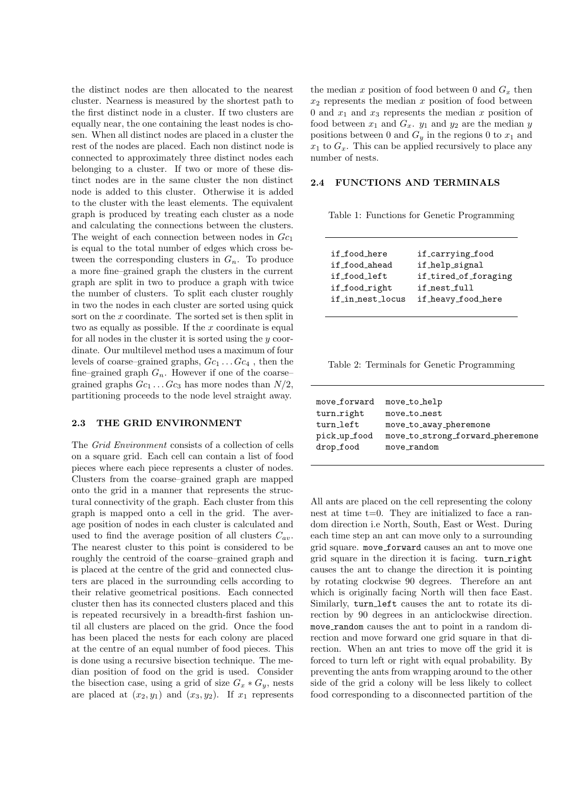the distinct nodes are then allocated to the nearest cluster. Nearness is measured by the shortest path to the first distinct node in a cluster. If two clusters are equally near, the one containing the least nodes is chosen. When all distinct nodes are placed in a cluster the rest of the nodes are placed. Each non distinct node is connected to approximately three distinct nodes each belonging to a cluster. If two or more of these distinct nodes are in the same cluster the non distinct node is added to this cluster. Otherwise it is added to the cluster with the least elements. The equivalent graph is produced by treating each cluster as a node and calculating the connections between the clusters. The weight of each connection between nodes in *Gc*<sup>1</sup> is equal to the total number of edges which cross between the corresponding clusters in  $G_n$ . To produce a more fine–grained graph the clusters in the current graph are split in two to produce a graph with twice the number of clusters. To split each cluster roughly in two the nodes in each cluster are sorted using quick sort on the *x* coordinate. The sorted set is then split in two as equally as possible. If the *x* coordinate is equal for all nodes in the cluster it is sorted using the *y* coordinate. Our multilevel method uses a maximum of four levels of coarse–grained graphs, *Gc*<sup>1</sup> *. . . Gc*<sup>4</sup> , then the fine–grained graph  $G_n$ . However if one of the coarse– grained graphs  $Gc_1 \ldots Gc_3$  has more nodes than  $N/2$ , partitioning proceeds to the node level straight away.

### **2.3 THE GRID ENVIRONMENT**

The *Grid Environment* consists of a collection of cells on a square grid. Each cell can contain a list of food pieces where each piece represents a cluster of nodes. Clusters from the coarse–grained graph are mapped onto the grid in a manner that represents the structural connectivity of the graph. Each cluster from this graph is mapped onto a cell in the grid. The average position of nodes in each cluster is calculated and used to find the average position of all clusters  $C_{av}$ . The nearest cluster to this point is considered to be roughly the centroid of the coarse–grained graph and is placed at the centre of the grid and connected clusters are placed in the surrounding cells according to their relative geometrical positions. Each connected cluster then has its connected clusters placed and this is repeated recursively in a breadth-first fashion until all clusters are placed on the grid. Once the food has been placed the nests for each colony are placed at the centre of an equal number of food pieces. This is done using a recursive bisection technique. The median position of food on the grid is used. Consider the bisection case, using a grid of size  $G_x * G_y$ , nests are placed at  $(x_2, y_1)$  and  $(x_3, y_2)$ . If  $x_1$  represents the median  $x$  position of food between 0 and  $G_x$  then *x*<sup>2</sup> represents the median *x* position of food between 0 and  $x_1$  and  $x_3$  represents the median  $x$  position of food between  $x_1$  and  $G_x$ .  $y_1$  and  $y_2$  are the median  $y$ positions between 0 and  $G_y$  in the regions 0 to  $x_1$  and  $x_1$  to  $G_x$ . This can be applied recursively to place any number of nests.

#### **2.4 FUNCTIONS AND TERMINALS**

Table 1: Functions for Genetic Programming

| if food here     | if_carrying_food     |
|------------------|----------------------|
| if_food_ahead    | if help signal       |
| if_food_left     | if tired of foraging |
| if food right    | if_nest_full         |
| if_in_nest_locus | if heavy food here   |
|                  |                      |

| Table 2: Terminals for Genetic Programming |  |  |
|--------------------------------------------|--|--|
|--------------------------------------------|--|--|

| move_forward | move to help                     |
|--------------|----------------------------------|
| turn_right   | move_to_nest                     |
| turn_left    | move_to_away_pheremone           |
| pick_up_food | move_to_strong_forward_pheremone |
| drop_food    | move_random                      |
|              |                                  |

All ants are placed on the cell representing the colony nest at time  $t=0$ . They are initialized to face a random direction i.e North, South, East or West. During each time step an ant can move only to a surrounding grid square. move forward causes an ant to move one grid square in the direction it is facing. turn right causes the ant to change the direction it is pointing by rotating clockwise 90 degrees. Therefore an ant which is originally facing North will then face East. Similarly, turn left causes the ant to rotate its direction by 90 degrees in an anticlockwise direction. move random causes the ant to point in a random direction and move forward one grid square in that direction. When an ant tries to move off the grid it is forced to turn left or right with equal probability. By preventing the ants from wrapping around to the other side of the grid a colony will be less likely to collect food corresponding to a disconnected partition of the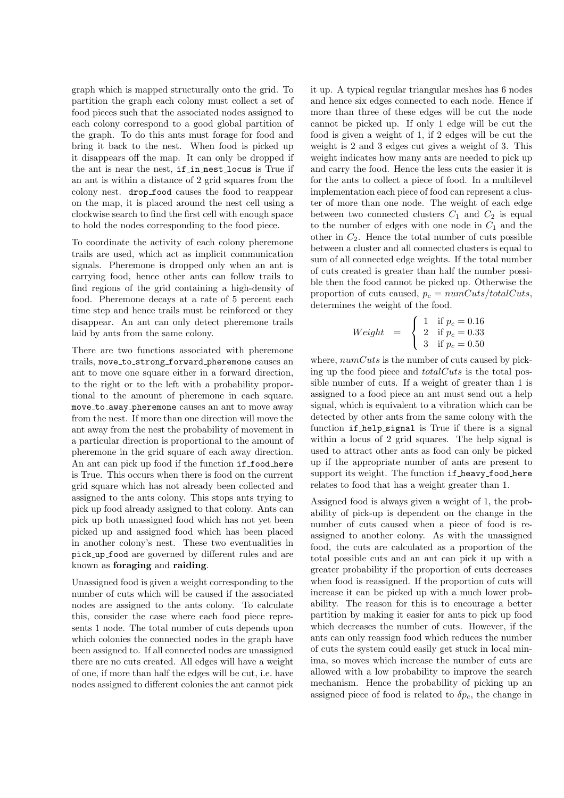graph which is mapped structurally onto the grid. To partition the graph each colony must collect a set of food pieces such that the associated nodes assigned to each colony correspond to a good global partition of the graph. To do this ants must forage for food and bring it back to the nest. When food is picked up it disappears off the map. It can only be dropped if the ant is near the nest, if in nest locus is True if an ant is within a distance of 2 grid squares from the colony nest. drop food causes the food to reappear on the map, it is placed around the nest cell using a clockwise search to find the first cell with enough space to hold the nodes corresponding to the food piece.

To coordinate the activity of each colony pheremone trails are used, which act as implicit communication signals. Pheremone is dropped only when an ant is carrying food, hence other ants can follow trails to find regions of the grid containing a high-density of food. Pheremone decays at a rate of 5 percent each time step and hence trails must be reinforced or they disappear. An ant can only detect pheremone trails laid by ants from the same colony.

There are two functions associated with pheremone trails, move to strong forward pheremone causes an ant to move one square either in a forward direction, to the right or to the left with a probability proportional to the amount of pheremone in each square. move to away pheremone causes an ant to move away from the nest. If more than one direction will move the ant away from the nest the probability of movement in a particular direction is proportional to the amount of pheremone in the grid square of each away direction. An ant can pick up food if the function if food here is True. This occurs when there is food on the current grid square which has not already been collected and assigned to the ants colony. This stops ants trying to pick up food already assigned to that colony. Ants can pick up both unassigned food which has not yet been picked up and assigned food which has been placed in another colony's nest. These two eventualities in pick up food are governed by different rules and are known as **foraging** and **raiding**.

Unassigned food is given a weight corresponding to the number of cuts which will be caused if the associated nodes are assigned to the ants colony. To calculate this, consider the case where each food piece represents 1 node. The total number of cuts depends upon which colonies the connected nodes in the graph have been assigned to. If all connected nodes are unassigned there are no cuts created. All edges will have a weight of one, if more than half the edges will be cut, i.e. have nodes assigned to different colonies the ant cannot pick

it up. A typical regular triangular meshes has 6 nodes and hence six edges connected to each node. Hence if more than three of these edges will be cut the node cannot be picked up. If only 1 edge will be cut the food is given a weight of 1, if 2 edges will be cut the weight is 2 and 3 edges cut gives a weight of 3. This weight indicates how many ants are needed to pick up and carry the food. Hence the less cuts the easier it is for the ants to collect a piece of food. In a multilevel implementation each piece of food can represent a cluster of more than one node. The weight of each edge between two connected clusters  $C_1$  and  $C_2$  is equal to the number of edges with one node in  $C_1$  and the other in  $C_2$ . Hence the total number of cuts possible between a cluster and all connected clusters is equal to sum of all connected edge weights. If the total number of cuts created is greater than half the number possible then the food cannot be picked up. Otherwise the proportion of cuts caused,  $p_c = numCuts/totalCuts$ , determines the weight of the food.

$$
Weight = \begin{cases} 1 & \text{if } p_c = 0.16 \\ 2 & \text{if } p_c = 0.33 \\ 3 & \text{if } p_c = 0.50 \end{cases}
$$

where, *numCuts* is the number of cuts caused by picking up the food piece and *totalCuts* is the total possible number of cuts. If a weight of greater than 1 is assigned to a food piece an ant must send out a help signal, which is equivalent to a vibration which can be detected by other ants from the same colony with the function if help signal is True if there is a signal within a locus of 2 grid squares. The help signal is used to attract other ants as food can only be picked up if the appropriate number of ants are present to support its weight. The function if heavy food here relates to food that has a weight greater than 1.

Assigned food is always given a weight of 1, the probability of pick-up is dependent on the change in the number of cuts caused when a piece of food is reassigned to another colony. As with the unassigned food, the cuts are calculated as a proportion of the total possible cuts and an ant can pick it up with a greater probability if the proportion of cuts decreases when food is reassigned. If the proportion of cuts will increase it can be picked up with a much lower probability. The reason for this is to encourage a better partition by making it easier for ants to pick up food which decreases the number of cuts. However, if the ants can only reassign food which reduces the number of cuts the system could easily get stuck in local minima, so moves which increase the number of cuts are allowed with a low probability to improve the search mechanism. Hence the probability of picking up an assigned piece of food is related to  $\delta p_c$ , the change in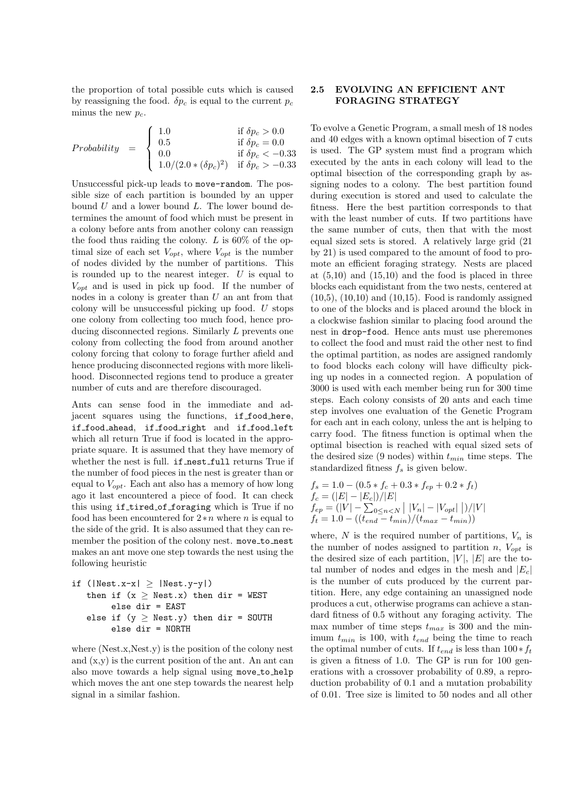the proportion of total possible cuts which is caused by reassigning the food.  $\delta p_c$  is equal to the current  $p_c$ minus the new  $p_c$ .

Probability = 
$$
\begin{cases} 1.0 & \text{if } \delta p_c > 0.0 \\ 0.5 & \text{if } \delta p_c = 0.0 \\ 0.0 & \text{if } \delta p_c < -0.33 \\ 1.0/(2.0*(\delta p_c)^2) & \text{if } \delta p_c > -0.33 \end{cases}
$$

Unsuccessful pick-up leads to move-random. The possible size of each partition is bounded by an upper bound *U* and a lower bound *L*. The lower bound determines the amount of food which must be present in a colony before ants from another colony can reassign the food thus raiding the colony. *L* is 60% of the optimal size of each set  $V_{opt}$ , where  $V_{opt}$  is the number of nodes divided by the number of partitions. This is rounded up to the nearest integer. *U* is equal to *Vopt* and is used in pick up food. If the number of nodes in a colony is greater than *U* an ant from that colony will be unsuccessful picking up food. *U* stops one colony from collecting too much food, hence producing disconnected regions. Similarly *L* prevents one colony from collecting the food from around another colony forcing that colony to forage further afield and hence producing disconnected regions with more likelihood. Disconnected regions tend to produce a greater number of cuts and are therefore discouraged.

Ants can sense food in the immediate and adjacent squares using the functions, if food here, if food ahead, if food right and if food left which all return True if food is located in the appropriate square. It is assumed that they have memory of whether the nest is full. if nest full returns True if the number of food pieces in the nest is greater than or equal to *Vopt*. Each ant also has a memory of how long ago it last encountered a piece of food. It can check this using if tired of foraging which is True if no food has been encountered for 2∗*n* where *n* is equal to the side of the grid. It is also assumed that they can remember the position of the colony nest. move\_to\_nest makes an ant move one step towards the nest using the following heuristic

```
if (|\text{Nest.x-x}| \geq |\text{Nest.y-y}|)then if (x \geq Nest.x) then dir = WEST
       else dir = EAST
 else if (y > Nest.y) then dir = SOUTH
       else dir = NORTH
```
where  $(Nest.x.Nest.y)$  is the position of the colony nest and  $(x,y)$  is the current position of the ant. An ant can also move towards a help signal using move to help which moves the ant one step towards the nearest help signal in a similar fashion.

### **2.5 EVOLVING AN EFFICIENT ANT FORAGING STRATEGY**

To evolve a Genetic Program, a small mesh of 18 nodes and 40 edges with a known optimal bisection of 7 cuts is used. The GP system must find a program which executed by the ants in each colony will lead to the optimal bisection of the corresponding graph by assigning nodes to a colony. The best partition found during execution is stored and used to calculate the fitness. Here the best partition corresponds to that with the least number of cuts. If two partitions have the same number of cuts, then that with the most equal sized sets is stored. A relatively large grid (21 by 21) is used compared to the amount of food to promote an efficient foraging strategy. Nests are placed at  $(5,10)$  and  $(15,10)$  and the food is placed in three blocks each equidistant from the two nests, centered at (10,5), (10,10) and (10,15). Food is randomly assigned to one of the blocks and is placed around the block in a clockwise fashion similar to placing food around the nest in drop-food. Hence ants must use pheremones to collect the food and must raid the other nest to find the optimal partition, as nodes are assigned randomly to food blocks each colony will have difficulty picking up nodes in a connected region. A population of 3000 is used with each member being run for 300 time steps. Each colony consists of 20 ants and each time step involves one evaluation of the Genetic Program for each ant in each colony, unless the ant is helping to carry food. The fitness function is optimal when the optimal bisection is reached with equal sized sets of the desired size (9 nodes) within *tmin* time steps. The standardized fitness *f<sup>s</sup>* is given below.

$$
f_s = 1.0 - (0.5 * f_c + 0.3 * f_{ep} + 0.2 * f_t)
$$
  
\n
$$
f_c = (|E| - |E_c|)/|E|
$$
  
\n
$$
f_{ep} = (|V| - \sum_{0 \le n < N} |V_n| - |V_{opt}|)/|V|
$$
  
\n
$$
f_t = 1.0 - ((t_{end} - t_{min})/(t_{max} - t_{min}))
$$

where,  $N$  is the required number of partitions,  $V_n$  is the number of nodes assigned to partition *n*,  $V_{opt}$  is the desired size of each partition,  $|V|, |E|$  are the total number of nodes and edges in the mesh and  $|E_c|$ is the number of cuts produced by the current partition. Here, any edge containing an unassigned node produces a cut, otherwise programs can achieve a standard fitness of 0.5 without any foraging activity. The max number of time steps *tmax* is 300 and the minimum *tmin* is 100, with *tend* being the time to reach the optimal number of cuts. If  $t_{end}$  is less than  $100*f_t$ is given a fitness of 1.0. The GP is run for 100 generations with a crossover probability of 0.89, a reproduction probability of 0.1 and a mutation probability of 0.01. Tree size is limited to 50 nodes and all other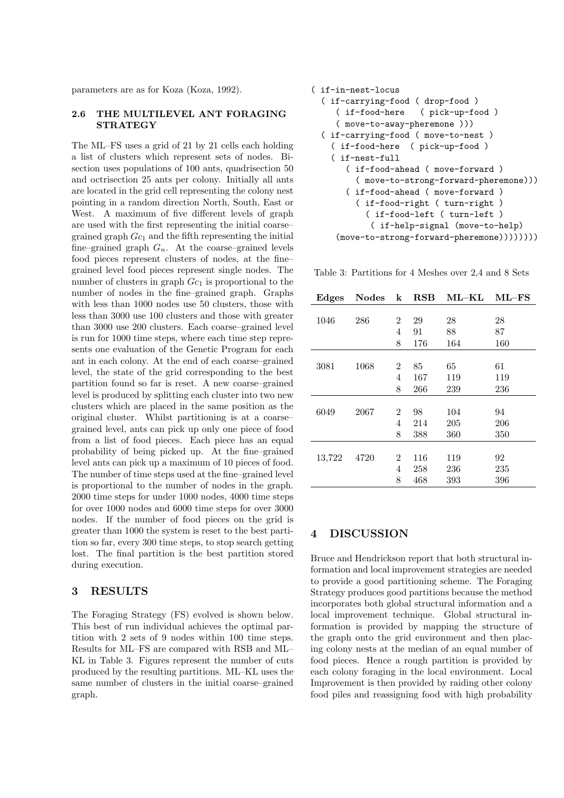parameters are as for Koza (Koza, 1992).

### **2.6 THE MULTILEVEL ANT FORAGING STRATEGY**

The ML–FS uses a grid of 21 by 21 cells each holding a list of clusters which represent sets of nodes. Bisection uses populations of 100 ants, quadrisection 50 and octrisection 25 ants per colony. Initially all ants are located in the grid cell representing the colony nest pointing in a random direction North, South, East or West. A maximum of five different levels of graph are used with the first representing the initial coarse– grained graph *Gc*<sup>1</sup> and the fifth representing the initial fine–grained graph  $G_n$ . At the coarse–grained levels food pieces represent clusters of nodes, at the fine– grained level food pieces represent single nodes. The number of clusters in graph  $Gc_1$  is proportional to the number of nodes in the fine–grained graph. Graphs with less than 1000 nodes use 50 clusters, those with less than 3000 use 100 clusters and those with greater than 3000 use 200 clusters. Each coarse–grained level is run for 1000 time steps, where each time step represents one evaluation of the Genetic Program for each ant in each colony. At the end of each coarse–grained level, the state of the grid corresponding to the best partition found so far is reset. A new coarse–grained level is produced by splitting each cluster into two new clusters which are placed in the same position as the original cluster. Whilst partitioning is at a coarse– grained level, ants can pick up only one piece of food from a list of food pieces. Each piece has an equal probability of being picked up. At the fine–grained level ants can pick up a maximum of 10 pieces of food. The number of time steps used at the fine–grained level is proportional to the number of nodes in the graph. 2000 time steps for under 1000 nodes, 4000 time steps for over 1000 nodes and 6000 time steps for over 3000 nodes. If the number of food pieces on the grid is greater than 1000 the system is reset to the best partition so far, every 300 time steps, to stop search getting lost. The final partition is the best partition stored during execution.

# **3 RESULTS**

The Foraging Strategy (FS) evolved is shown below. This best of run individual achieves the optimal partition with 2 sets of 9 nodes within 100 time steps. Results for ML–FS are compared with RSB and ML– KL in Table 3. Figures represent the number of cuts produced by the resulting partitions. ML–KL uses the same number of clusters in the initial coarse–grained graph.

```
( if-in-nest-locus
( if-carrying-food ( drop-food )
                    ( pick-up-food )
   ( move-to-away-pheremone )))
( if-carrying-food ( move-to-nest )
  ( if-food-here ( pick-up-food )
  ( if-nest-full
     ( if-food-ahead ( move-forward )
       ( move-to-strong-forward-pheremone)))
     ( if-food-ahead ( move-forward )
       ( if-food-right ( turn-right )
         ( if-food-left ( turn-left )
          ( if-help-signal (move-to-help)
   (move-to-strong-forward-pheremone))))))))
```
Table 3: Partitions for 4 Meshes over 2,4 and 8 Sets

| Edges  | <b>Nodes</b> | $\bf k$        | $_{\rm RSB}$ | $\rm ML\text{-}KL$ | $ML-FS$ |
|--------|--------------|----------------|--------------|--------------------|---------|
|        |              |                |              |                    |         |
| 1046   | 286          | 2              | 29           | 28                 | 28      |
|        |              | 4              | 91           | 88                 | 87      |
|        |              | 8              | 176          | 164                | 160     |
|        |              |                |              |                    |         |
| 3081   | 1068         | 2              | 85           | 65                 | 61      |
|        |              | 4              | 167          | 119                | 119     |
|        |              | 8              | 266          | 239                | 236     |
|        |              |                |              |                    |         |
| 6049   | 2067         | 2              | 98           | 104                | 94      |
|        |              | 4              | 214          | 205                | 206     |
|        |              | 8              | 388          | 360                | 350     |
|        |              |                |              |                    |         |
| 13,722 | 4720         | $\overline{2}$ | 116          | 119                | 92      |
|        |              | 4              | 258          | 236                | 235     |
|        |              | 8              | 468          | 393                | 396     |

# **4 DISCUSSION**

Bruce and Hendrickson report that both structural information and local improvement strategies are needed to provide a good partitioning scheme. The Foraging Strategy produces good partitions because the method incorporates both global structural information and a local improvement technique. Global structural information is provided by mapping the structure of the graph onto the grid environment and then placing colony nests at the median of an equal number of food pieces. Hence a rough partition is provided by each colony foraging in the local environment. Local Improvement is then provided by raiding other colony food piles and reassigning food with high probability